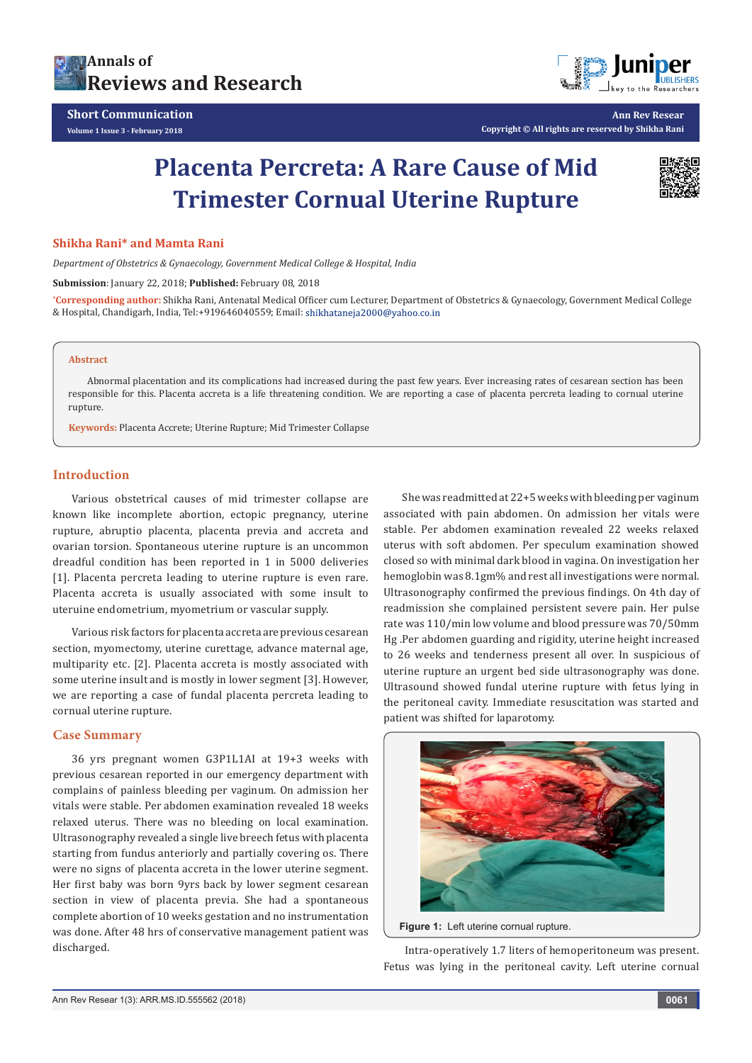



**Ann Rev Resear Copyright © All rights are reserved by Shikha Rani**

# **Placenta Percreta: A Rare Cause of Mid Trimester Cornual Uterine Rupture**



#### **Shikha Rani\* and Mamta Rani**

*Department of Obstetrics & Gynaecology, Government Medical College & Hospital, India*

**Submission**: January 22, 2018; **Published:** February 08, 2018

**\* Corresponding author:** Shikha Rani, Antenatal Medical Officer cum Lecturer, Department of Obstetrics & Gynaecology, Government Medical College & Hospital, Chandigarh, India, Tel:+919646040559; Email:

#### **Abstract**

Abnormal placentation and its complications had increased during the past few years. Ever increasing rates of cesarean section has been responsible for this. Placenta accreta is a life threatening condition. We are reporting a case of placenta percreta leading to cornual uterine rupture.

**Keywords:** Placenta Accrete; Uterine Rupture; Mid Trimester Collapse

## **Introduction**

Various obstetrical causes of mid trimester collapse are known like incomplete abortion, ectopic pregnancy, uterine rupture, abruptio placenta, placenta previa and accreta and ovarian torsion. Spontaneous uterine rupture is an uncommon dreadful condition has been reported in 1 in 5000 deliveries [1]. Placenta percreta leading to uterine rupture is even rare. Placenta accreta is usually associated with some insult to uteruine endometrium, myometrium or vascular supply.

Various risk factors for placenta accreta are previous cesarean section, myomectomy, uterine curettage, advance maternal age, multiparity etc. [2]. Placenta accreta is mostly associated with some uterine insult and is mostly in lower segment [3]. However, we are reporting a case of fundal placenta percreta leading to cornual uterine rupture.

#### **Case Summary**

36 yrs pregnant women G3P1L1AI at 19+3 weeks with previous cesarean reported in our emergency department with complains of painless bleeding per vaginum. On admission her vitals were stable. Per abdomen examination revealed 18 weeks relaxed uterus. There was no bleeding on local examination. Ultrasonography revealed a single live breech fetus with placenta starting from fundus anteriorly and partially covering os. There were no signs of placenta accreta in the lower uterine segment. Her first baby was born 9yrs back by lower segment cesarean section in view of placenta previa. She had a spontaneous complete abortion of 10 weeks gestation and no instrumentation was done. After 48 hrs of conservative management patient was discharged.

She was readmitted at 22+5 weeks with bleeding per vaginum associated with pain abdomen. On admission her vitals were stable. Per abdomen examination revealed 22 weeks relaxed uterus with soft abdomen. Per speculum examination showed closed so with minimal dark blood in vagina. On investigation her hemoglobin was 8.1gm% and rest all investigations were normal. Ultrasonography confirmed the previous findings. On 4th day of readmission she complained persistent severe pain. Her pulse rate was 110/min low volume and blood pressure was 70/50mm Hg .Per abdomen guarding and rigidity, uterine height increased to 26 weeks and tenderness present all over. In suspicious of uterine rupture an urgent bed side ultrasonography was done. Ultrasound showed fundal uterine rupture with fetus lying in the peritoneal cavity. Immediate resuscitation was started and patient was shifted for laparotomy.





 Intra-operatively 1.7 liters of hemoperitoneum was present. Fetus was lying in the peritoneal cavity. Left uterine cornual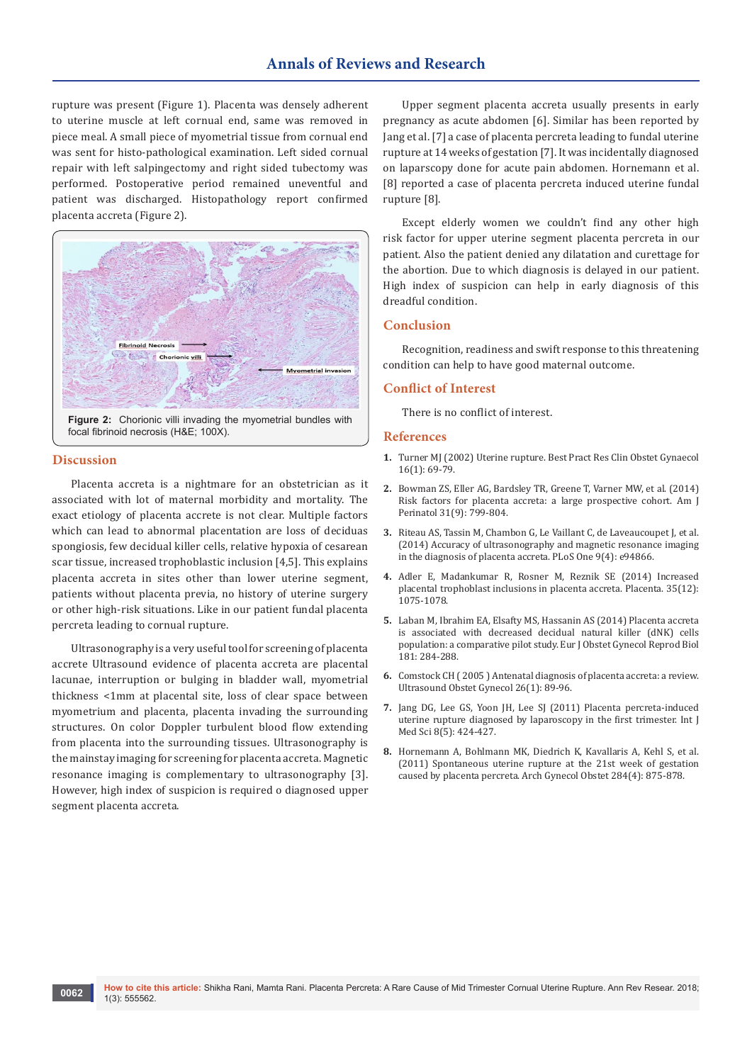# **Annals of Reviews and Research**

rupture was present (Figure 1). Placenta was densely adherent to uterine muscle at left cornual end, same was removed in piece meal. A small piece of myometrial tissue from cornual end was sent for histo-pathological examination. Left sided cornual repair with left salpingectomy and right sided tubectomy was performed. Postoperative period remained uneventful and patient was discharged. Histopathology report confirmed placenta accreta (Figure 2).



focal fibrinoid necrosis (H&E; 100X).

#### **Discussion**

Placenta accreta is a nightmare for an obstetrician as it associated with lot of maternal morbidity and mortality. The exact etiology of placenta accrete is not clear. Multiple factors which can lead to abnormal placentation are loss of deciduas spongiosis, few decidual killer cells, relative hypoxia of cesarean scar tissue, increased trophoblastic inclusion [4,5]. This explains placenta accreta in sites other than lower uterine segment, patients without placenta previa, no history of uterine surgery or other high-risk situations. Like in our patient fundal placenta percreta leading to cornual rupture.

Ultrasonography is a very useful tool for screening of placenta accrete Ultrasound evidence of placenta accreta are placental lacunae, interruption or bulging in bladder wall, myometrial thickness <1mm at placental site, loss of clear space between myometrium and placenta, placenta invading the surrounding structures. On color Doppler turbulent blood flow extending from placenta into the surrounding tissues. Ultrasonography is the mainstay imaging for screening for placenta accreta. Magnetic resonance imaging is complementary to ultrasonography [3]. However, high index of suspicion is required o diagnosed upper segment placenta accreta.

Upper segment placenta accreta usually presents in early pregnancy as acute abdomen [6]. Similar has been reported by Jang et al. [7] a case of placenta percreta leading to fundal uterine rupture at 14 weeks of gestation [7]. It was incidentally diagnosed on laparscopy done for acute pain abdomen. Hornemann et al. [8] reported a case of placenta percreta induced uterine fundal rupture [8].

Except elderly women we couldn't find any other high risk factor for upper uterine segment placenta percreta in our patient. Also the patient denied any dilatation and curettage for the abortion. Due to which diagnosis is delayed in our patient. High index of suspicion can help in early diagnosis of this dreadful condition.

#### **Conclusion**

Recognition, readiness and swift response to this threatening condition can help to have good maternal outcome.

#### **Conflict of Interest**

There is no conflict of interest.

#### **References**

- **1.** [Turner MJ \(2002\) Uterine rupture. Best Pract Res Clin Obstet Gynaecol](https://www.ncbi.nlm.nih.gov/pubmed/11866498)  [16\(1\): 69-79.](https://www.ncbi.nlm.nih.gov/pubmed/11866498)
- **2.** [Bowman ZS, Eller AG, Bardsley TR, Greene T, Varner MW, et al. \(2014\)](https://www.ncbi.nlm.nih.gov/pubmed/24338130)  [Risk factors for placenta accreta: a large prospective cohort. Am J](https://www.ncbi.nlm.nih.gov/pubmed/24338130)  [Perinatol 31\(9\): 799-804.](https://www.ncbi.nlm.nih.gov/pubmed/24338130)
- **3.** [Riteau AS, Tassin M, Chambon G, Le Vaillant C, de Laveaucoupet J, et al.](https://www.ncbi.nlm.nih.gov/pmc/articles/PMC3986371/)  [\(2014\) Accuracy of ultrasonography and magnetic resonance imaging](https://www.ncbi.nlm.nih.gov/pmc/articles/PMC3986371/)  [in the diagnosis of placenta accreta. PLoS One 9\(4\): e94866.](https://www.ncbi.nlm.nih.gov/pmc/articles/PMC3986371/)
- **4.** [Adler E, Madankumar R, Rosner M, Reznik SE \(2014\) Increased](https://www.ncbi.nlm.nih.gov/pubmed/25305693)  [placental trophoblast inclusions in placenta accreta. Placenta. 35\(12\):](https://www.ncbi.nlm.nih.gov/pubmed/25305693)  [1075-1078.](https://www.ncbi.nlm.nih.gov/pubmed/25305693)
- **5.** [Laban M, Ibrahim EA, Elsafty MS, Hassanin AS \(2014\) Placenta accreta](https://www.ncbi.nlm.nih.gov/pubmed/25195203)  [is associated with decreased decidual natural killer \(dNK\) cells](https://www.ncbi.nlm.nih.gov/pubmed/25195203)  [population: a comparative pilot study. Eur J Obstet Gynecol Reprod Biol](https://www.ncbi.nlm.nih.gov/pubmed/25195203)  [181: 284-288.](https://www.ncbi.nlm.nih.gov/pubmed/25195203)
- **6.** [Comstock CH \( 2005 \) Antenatal diagnosis of placenta accreta: a review.](https://www.ncbi.nlm.nih.gov/pubmed/15971281)  [Ultrasound Obstet Gynecol 26\(1\): 89-96.](https://www.ncbi.nlm.nih.gov/pubmed/15971281)
- **7.** [Jang DG, Lee GS, Yoon JH, Lee SJ \(2011\) Placenta percreta-induced](https://www.ncbi.nlm.nih.gov/pubmed/21814475)  [uterine rupture diagnosed by laparoscopy in the first trimester. Int J](https://www.ncbi.nlm.nih.gov/pubmed/21814475)  [Med Sci 8\(5\): 424-427.](https://www.ncbi.nlm.nih.gov/pubmed/21814475)
- **8.** [Hornemann A, Bohlmann MK, Diedrich K, Kavallaris A, Kehl S, et al.](https://www.ncbi.nlm.nih.gov/pubmed/21698452)  [\(2011\) Spontaneous uterine rupture at the 21st week of gestation](https://www.ncbi.nlm.nih.gov/pubmed/21698452)  [caused by placenta percreta. Arch Gynecol Obstet 284\(4\): 875-878.](https://www.ncbi.nlm.nih.gov/pubmed/21698452)